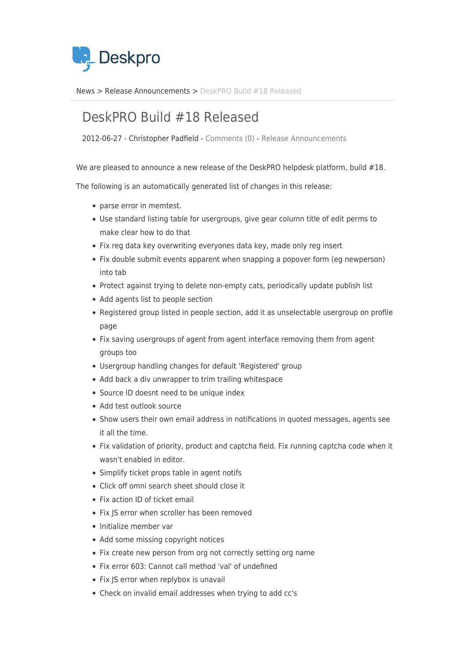

[News](https://support.deskpro.com/sv/news) > [Release Announcements](https://support.deskpro.com/sv/news/release-announcements) > [DeskPRO Build #18 Released](https://support.deskpro.com/sv/news/posts/deskpro-build-18-released)

## DeskPRO Build #18 Released

2012-06-27 - Christopher Padfield - [Comments \(0\)](#page--1-0) - [Release Announcements](https://support.deskpro.com/sv/news/release-announcements)

We are pleased to announce a new release of the DeskPRO helpdesk platform, build #18.

The following is an automatically generated list of changes in this release:

- parse error in memtest.
- Use standard listing table for usergroups, give gear column title of edit perms to make clear how to do that
- Fix reg data key overwriting everyones data key, made only reg insert
- Fix double submit events apparent when snapping a popover form (eg newperson) into tab
- Protect against trying to delete non-empty cats, periodically update publish list
- Add agents list to people section
- Registered group listed in people section, add it as unselectable usergroup on profile page
- Fix saving usergroups of agent from agent interface removing them from agent groups too
- Usergroup handling changes for default 'Registered' group
- Add back a div unwrapper to trim trailing whitespace
- Source ID doesnt need to be unique index
- Add test outlook source
- Show users their own email address in notifications in quoted messages, agents see it all the time.
- Fix validation of priority, product and captcha field. Fix running captcha code when it wasn't enabled in editor.
- Simplify ticket props table in agent notifs
- Click off omni search sheet should close it
- Fix action ID of ticket email
- Fix JS error when scroller has been removed
- Initialize member var
- Add some missing copyright notices
- Fix create new person from org not correctly setting org name
- Fix error 603: Cannot call method 'val' of undefined
- Fix IS error when replybox is unavail
- Check on invalid email addresses when trying to add cc's